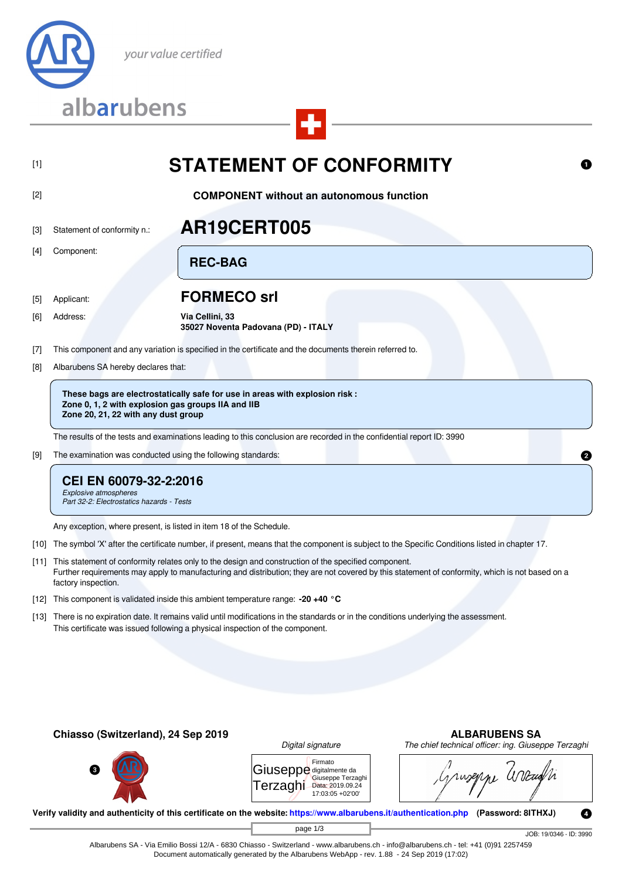

# [1] **STATEMENT OF CONFORMITY**

## [2] **COMPONENT without an autonomous function**

## [3] Statement of conformity n.: **AR19CERT005**

[4] Component:

[5] Applicant: **FORMECO srl**

**REC-BAG**

[6] Address: **Via Cellini, 33 35027 Noventa Padovana (PD) - ITALY**

- [7] This component and any variation is specified in the certificate and the documents therein referred to.
- [8] Albarubens SA hereby declares that:

**These bags are electrostatically safe for use in areas with explosion risk : Zone 0, 1, 2 with explosion gas groups IIA and IIB Zone 20, 21, 22 with any dust group**

The results of the tests and examinations leading to this conclusion are recorded in the confidential report ID: 3990

[9] The examination was conducted using the following standards:

## **CEI EN 60079-32-2:2016**

*Explosive atmospheres Part 32-2: Electrostatics hazards - Tests*

Any exception, where present, is listed in item 18 of the Schedule.

- [10] The symbol 'X' after the certificate number, if present, means that the component is subject to the Specific Conditions listed in chapter 17.
- [11] This statement of conformity relates only to the design and construction of the specified component. Further requirements may apply to manufacturing and distribution; they are not covered by this statement of conformity, which is not based on a factory inspection.
- [12] This component is validated inside this ambient temperature range: **-20 +40 °C**
- [13] There is no expiration date. It remains valid until modifications in the standards or in the conditions underlying the assessment. This certificate was issued following a physical inspection of the component.



| <i>Digital signature</i>             |                                                                      |  |  |  |  |
|--------------------------------------|----------------------------------------------------------------------|--|--|--|--|
| Giuseppe digitalmente da<br>Terzaghi | Firmato<br>Giuseppe Terzaghi<br>Data: 2019.09.24<br>17:03:05 +02'00' |  |  |  |  |

## **Chiasso (Switzerland), 24 Sep 2019 ALBARUBENS SA**

*Digital signature The chief technical officer: ing. Giuseppe Terzaghi*

miseppe arrang

**Verify validity and authenticity of this certificate on the website: [https://www.albarubens.it/authentication.php](https://www.albarubens.it/authentication.php?search=AR19CERT005) (Password: 8ITHXJ)**

page 1/3

JOB: 19/0346 - ID: 3990

Ø

Albarubens SA - Via Emilio Bossi 12/A - 6830 Chiasso - Switzerland - www.albarubens.ch - info@albarubens.ch - tel: +41 (0)91 2257459 Document automatically generated by the Albarubens WebApp - rev. 1.88 - 24 Sep 2019 (17:02)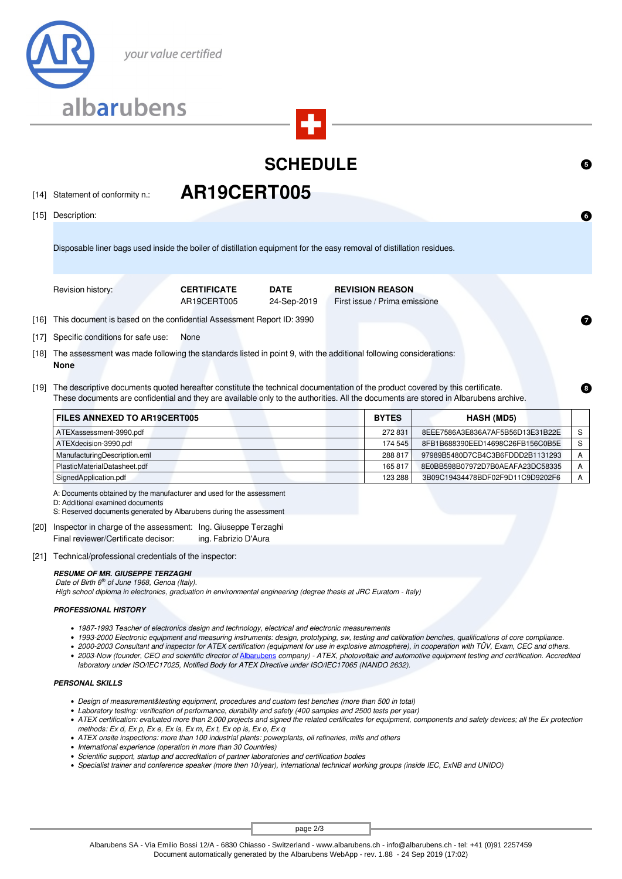

## **SCHEDULE**

[14] Statement of conformity n.: **AR19CERT005** 

[15] Description:

Disposable liner bags used inside the boiler of distillation equipment for the easy removal of distillation residues.

Revision history: **CERTIFICATE DATE REVISION REASON**

AR19CERT005 24-Sep-2019 First issue / Prima emissione

[16] This document is based on the confidential Assessment Report ID: 3990

[17] Specific conditions for safe use: None

- [18] The assessment was made following the standards listed in point 9, with the additional following considerations: **None**
- [19] The descriptive documents quoted hereafter constitute the technical documentation of the product covered by this certificate. These documents are confidential and they are available only to the authorities. All the documents are stored in Albarubens archive.

| FILES ANNEXED TO AR19CERT005 | <b>BYTES</b> | <b>HASH (MD5)</b>                |  |
|------------------------------|--------------|----------------------------------|--|
| ATEXassessment-3990.pdf      | 272831       | 8EEE7586A3E836A7AF5B56D13E31B22E |  |
| ATEXdecision-3990.pdf        | 174 545      | 8FB1B688390EED14698C26FB156C0B5E |  |
| ManufacturingDescription.eml | 288817       | 97989B5480D7CB4C3B6FDDD2B1131293 |  |
| PlasticMaterialDatasheet.pdf | 165817       | 8E0BB598B07972D7B0AEAFA23DC58335 |  |
| SignedApplication.pdf        | 123 288      | 3B09C19434478BDF02F9D11C9D9202F6 |  |

A: Documents obtained by the manufacturer and used for the assessment

D: Additional examined documents

S: Reserved documents generated by Albarubens during the assessment

- [20] Inspector in charge of the assessment: Ing. Giuseppe Terzaghi Final reviewer/Certificate decisor: ing. Fabrizio D'Aura
- [21] Technical/professional credentials of the inspector:

#### *RESUME OF MR. GIUSEPPE TERZAGHI*

 *Date of Birth 6th of June 1968, Genoa (Italy).*

 *High school diploma in electronics, graduation in environmental engineering (degree thesis at JRC Euratom - Italy)*

### *PROFESSIONAL HISTORY*

- *1987-1993 Teacher of electronics design and technology, electrical and electronic measurements*
- *1993-2000 Electronic equipment and measuring instruments: design, prototyping, sw, testing and calibration benches, qualifications of core compliance.*
- *2000-2003 Consultant and inspector for ATEX certification (equipment for use in explosive atmosphere), in cooperation with TÜV, Exam, CEC and others.*
- 2003-Now (founder, CEO and scientific director of **[Albarubens](http://www.albarubens.it)** company) ATEX, photovoltaic and automotive equipment testing and certification. Accredited *laboratory under ISO/IEC17025, Notified Body for ATEX Directive under ISO/IEC17065 (NANDO 2632).*

### *PERSONAL SKILLS*

- *Design of measurement&testing equipment, procedures and custom test benches (more than 500 in total)*
- *Laboratory testing: verification of performance, durability and safety (400 samples and 2500 tests per year)*
- *ATEX certification: evaluated more than 2,000 projects and signed the related certificates for equipment, components and safety devices; all the Ex protection methods: Ex d, Ex p, Ex e, Ex ia, Ex m, Ex t, Ex op is, Ex o, Ex q*
- *ATEX onsite inspections: more than 100 industrial plants: powerplants, oil refineries, mills and others*
- *International experience (operation in more than 30 Countries)*
- *Scientific support, startup and accreditation of partner laboratories and certification bodies*
- *Specialist trainer and conference speaker (more then 10/year), international technical working groups (inside IEC, ExNB and UNIDO)*

page 2/3